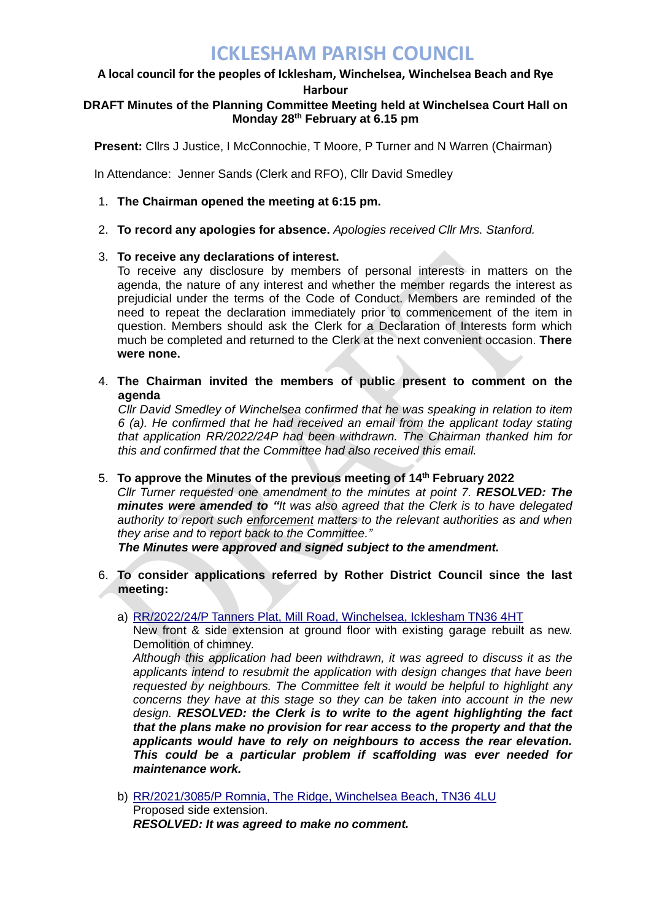# **ICKLESHAM PARISH COUNCIL**

#### **A local council for the peoples of Icklesham, Winchelsea, Winchelsea Beach and Rye Harbour**

#### **DRAFT Minutes of the Planning Committee Meeting held at Winchelsea Court Hall on Monday 28th February at 6.15 pm**

**Present:** Cllrs J Justice, I McConnochie, T Moore, P Turner and N Warren (Chairman)

In Attendance: Jenner Sands (Clerk and RFO), Cllr David Smedley

- 1. **The Chairman opened the meeting at 6:15 pm.**
- 2. **To record any apologies for absence.** *Apologies received Cllr Mrs. Stanford.*

### 3. **To receive any declarations of interest.**

To receive any disclosure by members of personal interests in matters on the agenda, the nature of any interest and whether the member regards the interest as prejudicial under the terms of the Code of Conduct. Members are reminded of the need to repeat the declaration immediately prior to commencement of the item in question. Members should ask the Clerk for a Declaration of Interests form which much be completed and returned to the Clerk at the next convenient occasion. **There were none.**

4. **The Chairman invited the members of public present to comment on the agenda** 

*Cllr David Smedley of Winchelsea confirmed that he was speaking in relation to item 6 (a). He confirmed that he had received an email from the applicant today stating that application RR/2022/24P had been withdrawn. The Chairman thanked him for this and confirmed that the Committee had also received this email.* 

5. **To approve the Minutes of the previous meeting of 14th February 2022**

*Cllr Turner requested one amendment to the minutes at point 7. RESOLVED: The minutes were amended to "It was also agreed that the Clerk is to have delegated authority to report such enforcement matters to the relevant authorities as and when they arise and to report back to the Committee."*

*The Minutes were approved and signed subject to the amendment.* 

- 6. **To consider applications referred by Rother District Council since the last meeting:**
	- a) RR/2022/24/P [Tanners Plat, Mill Road, Winchelsea, Icklesham TN36 4HT](http://planweb01.rother.gov.uk/OcellaWeb/planningDetails?reference=RR/2022/24/P)

New front & side extension at ground floor with existing garage rebuilt as new. Demolition of chimney.

*Although this application had been withdrawn, it was agreed to discuss it as the applicants intend to resubmit the application with design changes that have been requested by neighbours. The Committee felt it would be helpful to highlight any concerns they have at this stage so they can be taken into account in the new design. RESOLVED: the Clerk is to write to the agent highlighting the fact that the plans make no provision for rear access to the property and that the applicants would have to rely on neighbours to access the rear elevation. This could be a particular problem if scaffolding was ever needed for maintenance work.*

b) [RR/2021/3085/P Romnia, The Ridge, Winchelsea Beach,](http://planweb01.rother.gov.uk/OcellaWeb/planningDetails?reference=RR/2021/3085/P) TN36 4LU Proposed side extension. *RESOLVED: It was agreed to make no comment.*